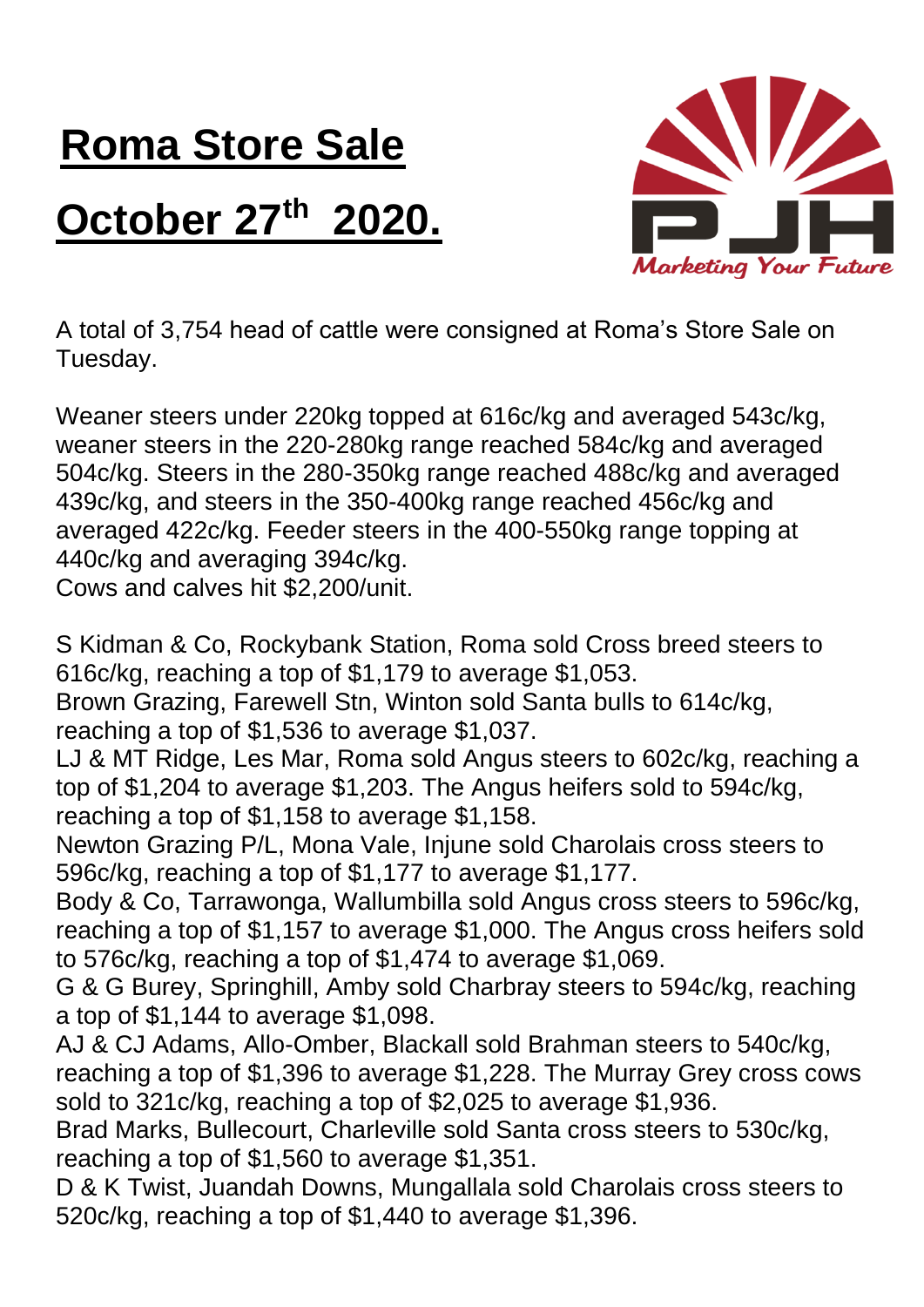## **Roma Store Sale October 27 th 2020.**



A total of 3,754 head of cattle were consigned at Roma's Store Sale on Tuesday.

Weaner steers under 220kg topped at 616c/kg and averaged 543c/kg, weaner steers in the 220-280kg range reached 584c/kg and averaged 504c/kg. Steers in the 280-350kg range reached 488c/kg and averaged 439c/kg, and steers in the 350-400kg range reached 456c/kg and averaged 422c/kg. Feeder steers in the 400-550kg range topping at 440c/kg and averaging 394c/kg.

Cows and calves hit \$2,200/unit.

S Kidman & Co, Rockybank Station, Roma sold Cross breed steers to 616c/kg, reaching a top of \$1,179 to average \$1,053.

Brown Grazing, Farewell Stn, Winton sold Santa bulls to 614c/kg, reaching a top of \$1,536 to average \$1,037.

LJ & MT Ridge, Les Mar, Roma sold Angus steers to 602c/kg, reaching a top of \$1,204 to average \$1,203. The Angus heifers sold to 594c/kg, reaching a top of \$1,158 to average \$1,158.

Newton Grazing P/L, Mona Vale, Injune sold Charolais cross steers to 596c/kg, reaching a top of \$1,177 to average \$1,177.

Body & Co, Tarrawonga, Wallumbilla sold Angus cross steers to 596c/kg, reaching a top of \$1,157 to average \$1,000. The Angus cross heifers sold to 576c/kg, reaching a top of \$1,474 to average \$1,069.

G & G Burey, Springhill, Amby sold Charbray steers to 594c/kg, reaching a top of \$1,144 to average \$1,098.

AJ & CJ Adams, Allo-Omber, Blackall sold Brahman steers to 540c/kg, reaching a top of \$1,396 to average \$1,228. The Murray Grey cross cows sold to 321c/kg, reaching a top of \$2,025 to average \$1,936.

Brad Marks, Bullecourt, Charleville sold Santa cross steers to 530c/kg, reaching a top of \$1,560 to average \$1,351.

D & K Twist, Juandah Downs, Mungallala sold Charolais cross steers to 520c/kg, reaching a top of \$1,440 to average \$1,396.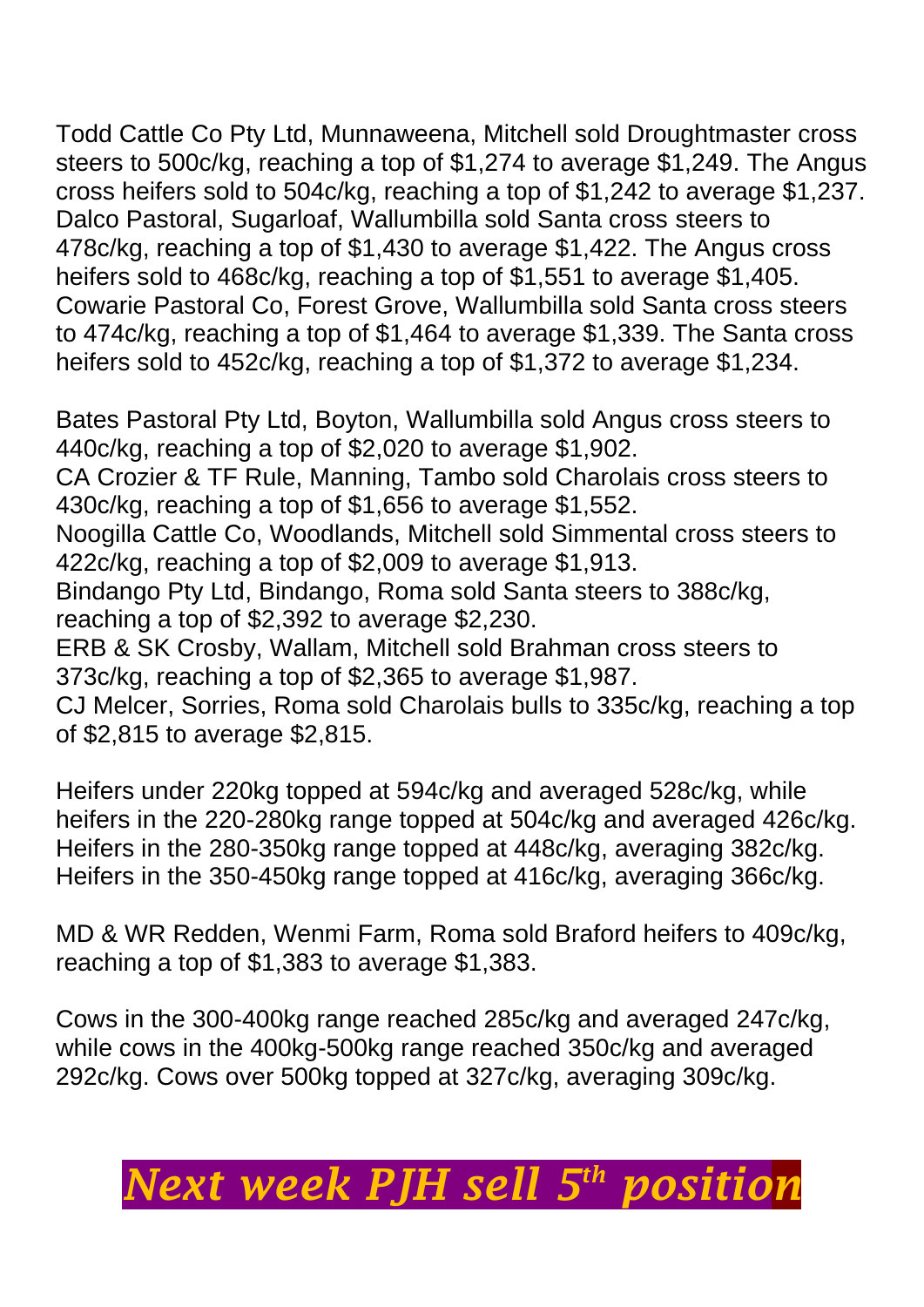Todd Cattle Co Pty Ltd, Munnaweena, Mitchell sold Droughtmaster cross

steers to 500c/kg, reaching a top of \$1,274 to average \$1,249. The Angus cross heifers sold to 504c/kg, reaching a top of \$1,242 to average \$1,237. Dalco Pastoral, Sugarloaf, Wallumbilla sold Santa cross steers to 478c/kg, reaching a top of \$1,430 to average \$1,422. The Angus cross heifers sold to 468c/kg, reaching a top of \$1,551 to average \$1,405. Cowarie Pastoral Co, Forest Grove, Wallumbilla sold Santa cross steers to 474c/kg, reaching a top of \$1,464 to average \$1,339. The Santa cross heifers sold to 452c/kg, reaching a top of \$1,372 to average \$1,234.

Bates Pastoral Pty Ltd, Boyton, Wallumbilla sold Angus cross steers to 440c/kg, reaching a top of \$2,020 to average \$1,902. CA Crozier & TF Rule, Manning, Tambo sold Charolais cross steers to 430c/kg, reaching a top of \$1,656 to average \$1,552. Noogilla Cattle Co, Woodlands, Mitchell sold Simmental cross steers to 422c/kg, reaching a top of \$2,009 to average \$1,913. Bindango Pty Ltd, Bindango, Roma sold Santa steers to 388c/kg, reaching a top of \$2,392 to average \$2,230. ERB & SK Crosby, Wallam, Mitchell sold Brahman cross steers to 373c/kg, reaching a top of \$2,365 to average \$1,987. CJ Melcer, Sorries, Roma sold Charolais bulls to 335c/kg, reaching a top of \$2,815 to average \$2,815.

Heifers under 220kg topped at 594c/kg and averaged 528c/kg, while heifers in the 220-280kg range topped at 504c/kg and averaged 426c/kg. Heifers in the 280-350kg range topped at 448c/kg, averaging 382c/kg. Heifers in the 350-450kg range topped at 416c/kg, averaging 366c/kg.

MD & WR Redden, Wenmi Farm, Roma sold Braford heifers to 409c/kg, reaching a top of \$1,383 to average \$1,383.

Cows in the 300-400kg range reached 285c/kg and averaged 247c/kg, while cows in the 400kg-500kg range reached 350c/kg and averaged 292c/kg. Cows over 500kg topped at 327c/kg, averaging 309c/kg.